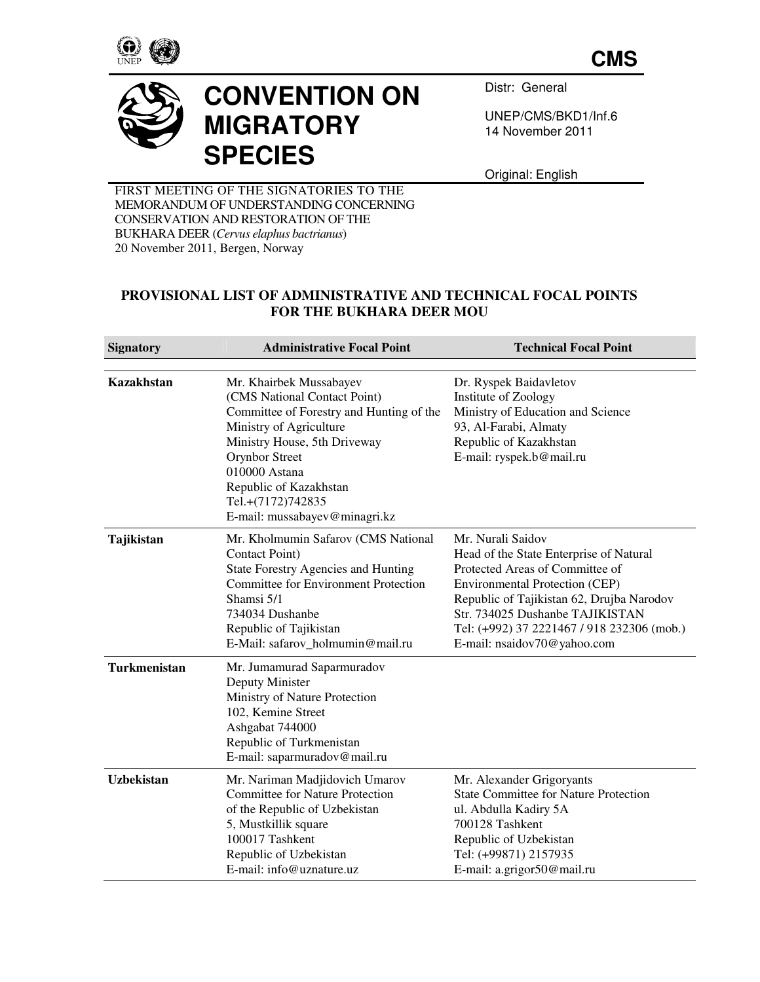

**CMS**



## **CONVENTION ON MIGRATORY SPECIES**

Distr: General

UNEP/CMS/BKD1/Inf.6 14 November 2011

Original: English

FIRST MEETING OF THE SIGNATORIES TO THE MEMORANDUM OF UNDERSTANDING CONCERNING CONSERVATION AND RESTORATION OF THE BUKHARA DEER (*Cervus elaphus bactrianus*) 20 November 2011, Bergen, Norway

## **PROVISIONAL LIST OF ADMINISTRATIVE AND TECHNICAL FOCAL POINTS FOR THE BUKHARA DEER MOU**

| <b>Signatory</b>  | <b>Administrative Focal Point</b>                                                                                                                                                                                                                                                 | <b>Technical Focal Point</b>                                                                                                                                                                                                                                                                          |
|-------------------|-----------------------------------------------------------------------------------------------------------------------------------------------------------------------------------------------------------------------------------------------------------------------------------|-------------------------------------------------------------------------------------------------------------------------------------------------------------------------------------------------------------------------------------------------------------------------------------------------------|
|                   |                                                                                                                                                                                                                                                                                   |                                                                                                                                                                                                                                                                                                       |
| <b>Kazakhstan</b> | Mr. Khairbek Mussabayev<br>(CMS National Contact Point)<br>Committee of Forestry and Hunting of the<br>Ministry of Agriculture<br>Ministry House, 5th Driveway<br>Orynbor Street<br>010000 Astana<br>Republic of Kazakhstan<br>Tel.+(7172)742835<br>E-mail: mussabayev@minagri.kz | Dr. Ryspek Baidavletov<br>Institute of Zoology<br>Ministry of Education and Science<br>93, Al-Farabi, Almaty<br>Republic of Kazakhstan<br>E-mail: ryspek.b@mail.ru                                                                                                                                    |
| Tajikistan        | Mr. Kholmumin Safarov (CMS National<br><b>Contact Point</b> )<br><b>State Forestry Agencies and Hunting</b><br><b>Committee for Environment Protection</b><br>Shamsi 5/1<br>734034 Dushanbe<br>Republic of Tajikistan<br>E-Mail: safarov_holmumin@mail.ru                         | Mr. Nurali Saidov<br>Head of the State Enterprise of Natural<br>Protected Areas of Committee of<br><b>Environmental Protection (CEP)</b><br>Republic of Tajikistan 62, Drujba Narodov<br>Str. 734025 Dushanbe TAJIKISTAN<br>Tel: (+992) 37 2221467 / 918 232306 (mob.)<br>E-mail: nsaidov70@yahoo.com |
| Turkmenistan      | Mr. Jumamurad Saparmuradov<br>Deputy Minister<br>Ministry of Nature Protection<br>102, Kemine Street<br>Ashgabat 744000<br>Republic of Turkmenistan<br>E-mail: saparmuradov@mail.ru                                                                                               |                                                                                                                                                                                                                                                                                                       |
| <b>Uzbekistan</b> | Mr. Nariman Madjidovich Umarov<br><b>Committee for Nature Protection</b><br>of the Republic of Uzbekistan<br>5, Mustkillik square<br>100017 Tashkent<br>Republic of Uzbekistan<br>E-mail: info@uznature.uz                                                                        | Mr. Alexander Grigoryants<br><b>State Committee for Nature Protection</b><br>ul. Abdulla Kadiry 5A<br>700128 Tashkent<br>Republic of Uzbekistan<br>Tel: (+99871) 2157935<br>E-mail: a.grigor50@mail.ru                                                                                                |